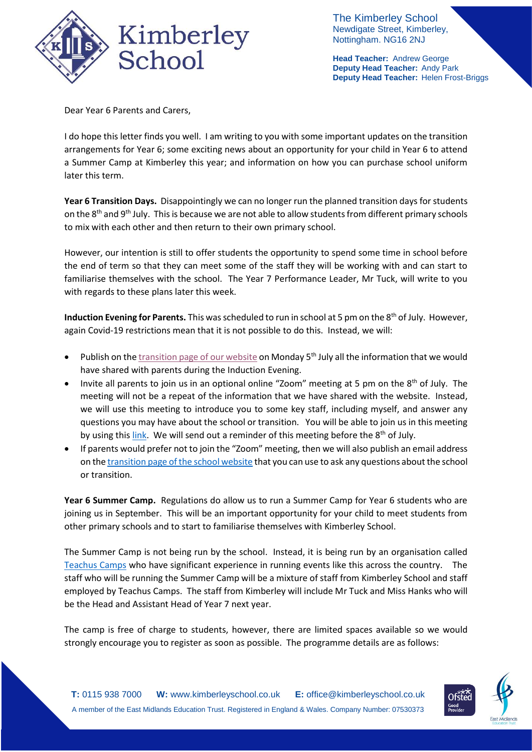

The Kimberley School Newdigate Street, Kimberley, Nottingham. NG16 2NJ

**Head Teacher:** Andrew George **Deputy Head Teacher:** Andy Park **Deputy Head Teacher:** Helen Frost-Briggs

Dear Year 6 Parents and Carers,

I do hope this letter finds you well. I am writing to you with some important updates on the transition arrangements for Year 6; some exciting news about an opportunity for your child in Year 6 to attend a Summer Camp at Kimberley this year; and information on how you can purchase school uniform later this term.

**Year 6 Transition Days.** Disappointingly we can no longer run the planned transition days for students on the  $8<sup>th</sup>$  and  $9<sup>th</sup>$  July. This is because we are not able to allow students from different primary schools to mix with each other and then return to their own primary school.

However, our intention is still to offer students the opportunity to spend some time in school before the end of term so that they can meet some of the staff they will be working with and can start to familiarise themselves with the school. The Year 7 Performance Leader, Mr Tuck, will write to you with regards to these plans later this week.

**Induction Evening for Parents.** This was scheduled to run in school at 5 pm on the 8th of July. However, again Covid-19 restrictions mean that it is not possible to do this. Instead, we will:

- Publish on th[e transition page of our website](https://www.kimberleyschool.co.uk/year-6-transition) on Monday 5<sup>th</sup> July all the information that we would have shared with parents during the Induction Evening.
- Invite all parents to join us in an optional online "Zoom" meeting at 5 pm on the  $8<sup>th</sup>$  of July. The meeting will not be a repeat of the information that we have shared with the website. Instead, we will use this meeting to introduce you to some key staff, including myself, and answer any questions you may have about the school or transition. You will be able to join us in this meeting by using this [link.](https://zoom.us/j/94241808596?pwd=ejUxeWhKV1U3b3VvVXFlRm5ORmp4QT09) We will send out a reminder of this meeting before the  $8<sup>th</sup>$  of July.
- If parents would prefer not to join the "Zoom" meeting, then we will also publish an email address on th[e transition page of the school website](https://www.kimberleyschool.co.uk/year-6-transition) that you can use to ask any questions about the school or transition.

**Year 6 Summer Camp.** Regulations do allow us to run a Summer Camp for Year 6 students who are joining us in September. This will be an important opportunity for your child to meet students from other primary schools and to start to familiarise themselves with Kimberley School.

The Summer Camp is not being run by the school. Instead, it is being run by an organisation called [Teachus Camps](https://www.teachuscamps.co.uk/) who have significant experience in running events like this across the country. The staff who will be running the Summer Camp will be a mixture of staff from Kimberley School and staff employed by Teachus Camps. The staff from Kimberley will include Mr Tuck and Miss Hanks who will be the Head and Assistant Head of Year 7 next year.

The camp is free of charge to students, however, there are limited spaces available so we would strongly encourage you to register as soon as possible. The programme details are as follows: